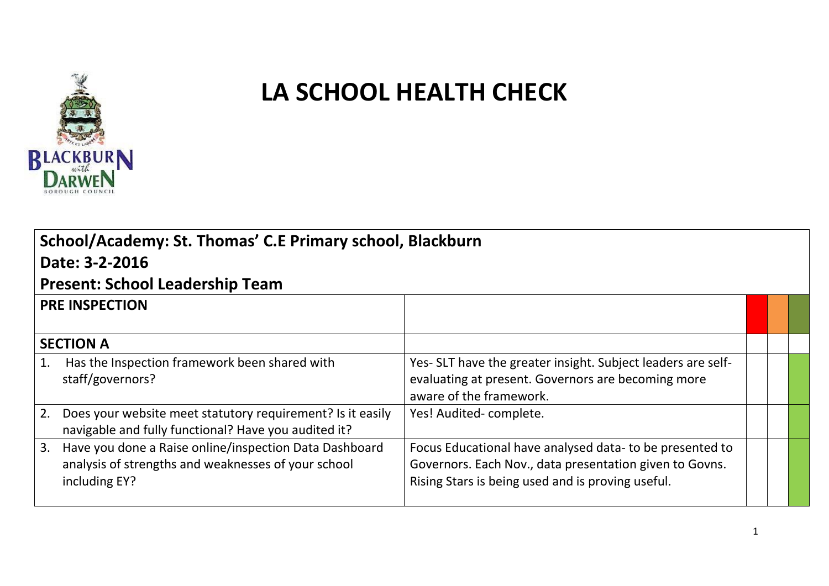

## **LA SCHOOL HEALTH CHECK**

| School/Academy: St. Thomas' C.E Primary school, Blackburn |                                                                                                                                   |                                                                                                                                                                          |  |  |  |  |  |  |  |  |
|-----------------------------------------------------------|-----------------------------------------------------------------------------------------------------------------------------------|--------------------------------------------------------------------------------------------------------------------------------------------------------------------------|--|--|--|--|--|--|--|--|
|                                                           | Date: 3-2-2016                                                                                                                    |                                                                                                                                                                          |  |  |  |  |  |  |  |  |
| <b>Present: School Leadership Team</b>                    |                                                                                                                                   |                                                                                                                                                                          |  |  |  |  |  |  |  |  |
|                                                           | <b>PRE INSPECTION</b>                                                                                                             |                                                                                                                                                                          |  |  |  |  |  |  |  |  |
|                                                           | <b>SECTION A</b>                                                                                                                  |                                                                                                                                                                          |  |  |  |  |  |  |  |  |
| 1.                                                        | Has the Inspection framework been shared with<br>staff/governors?                                                                 | Yes- SLT have the greater insight. Subject leaders are self-<br>evaluating at present. Governors are becoming more<br>aware of the framework.                            |  |  |  |  |  |  |  |  |
|                                                           | 2. Does your website meet statutory requirement? Is it easily<br>navigable and fully functional? Have you audited it?             | Yes! Audited-complete.                                                                                                                                                   |  |  |  |  |  |  |  |  |
|                                                           | 3. Have you done a Raise online/inspection Data Dashboard<br>analysis of strengths and weaknesses of your school<br>including EY? | Focus Educational have analysed data- to be presented to<br>Governors. Each Nov., data presentation given to Govns.<br>Rising Stars is being used and is proving useful. |  |  |  |  |  |  |  |  |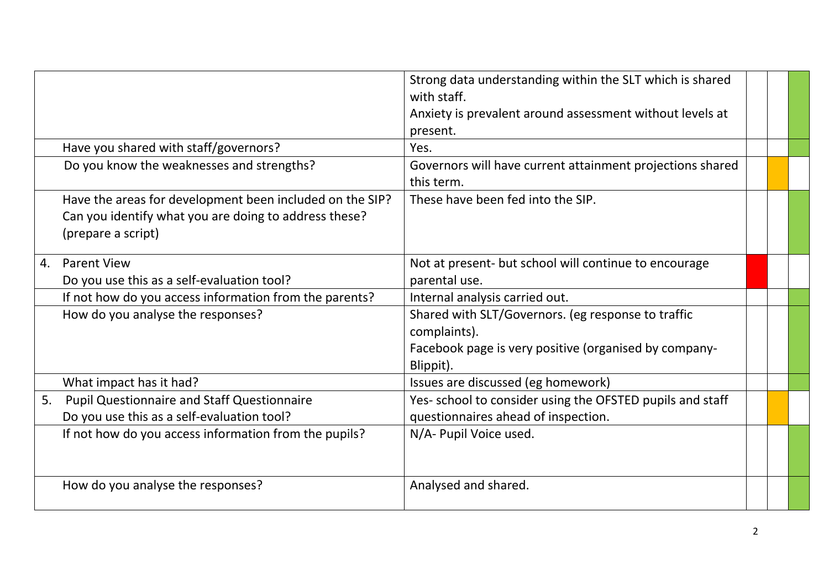|    |                                                                                                                                         | Strong data understanding within the SLT which is shared<br>with staff.<br>Anxiety is prevalent around assessment without levels at<br>present. |  |  |
|----|-----------------------------------------------------------------------------------------------------------------------------------------|-------------------------------------------------------------------------------------------------------------------------------------------------|--|--|
|    | Have you shared with staff/governors?                                                                                                   | Yes.                                                                                                                                            |  |  |
|    |                                                                                                                                         |                                                                                                                                                 |  |  |
|    | Do you know the weaknesses and strengths?                                                                                               | Governors will have current attainment projections shared<br>this term.                                                                         |  |  |
|    | Have the areas for development been included on the SIP?<br>Can you identify what you are doing to address these?<br>(prepare a script) | These have been fed into the SIP.                                                                                                               |  |  |
| 4. | <b>Parent View</b>                                                                                                                      | Not at present- but school will continue to encourage                                                                                           |  |  |
|    | Do you use this as a self-evaluation tool?                                                                                              | parental use.                                                                                                                                   |  |  |
|    | If not how do you access information from the parents?                                                                                  | Internal analysis carried out.                                                                                                                  |  |  |
|    | How do you analyse the responses?                                                                                                       | Shared with SLT/Governors. (eg response to traffic<br>complaints).<br>Facebook page is very positive (organised by company-<br>Blippit).        |  |  |
|    | What impact has it had?                                                                                                                 | Issues are discussed (eg homework)                                                                                                              |  |  |
| 5. | <b>Pupil Questionnaire and Staff Questionnaire</b>                                                                                      | Yes- school to consider using the OFSTED pupils and staff                                                                                       |  |  |
|    | Do you use this as a self-evaluation tool?                                                                                              | questionnaires ahead of inspection.                                                                                                             |  |  |
|    | If not how do you access information from the pupils?                                                                                   | N/A- Pupil Voice used.                                                                                                                          |  |  |
|    | How do you analyse the responses?                                                                                                       | Analysed and shared.                                                                                                                            |  |  |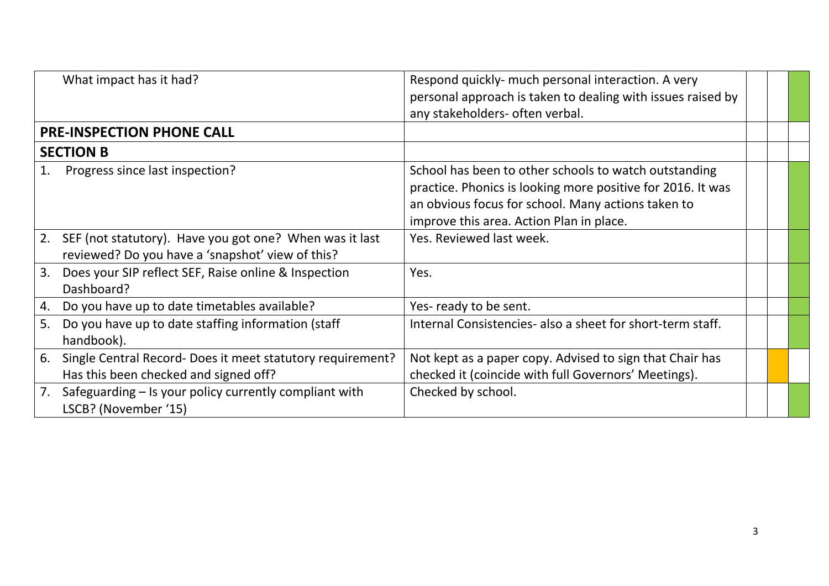|    | What impact has it had?                                                                                     | Respond quickly- much personal interaction. A very<br>personal approach is taken to dealing with issues raised by<br>any stakeholders- often verbal.                                                                   |  |  |
|----|-------------------------------------------------------------------------------------------------------------|------------------------------------------------------------------------------------------------------------------------------------------------------------------------------------------------------------------------|--|--|
|    | PRE-INSPECTION PHONE CALL                                                                                   |                                                                                                                                                                                                                        |  |  |
|    | <b>SECTION B</b>                                                                                            |                                                                                                                                                                                                                        |  |  |
|    | Progress since last inspection?                                                                             | School has been to other schools to watch outstanding<br>practice. Phonics is looking more positive for 2016. It was<br>an obvious focus for school. Many actions taken to<br>improve this area. Action Plan in place. |  |  |
| 2. | SEF (not statutory). Have you got one? When was it last<br>reviewed? Do you have a 'snapshot' view of this? | Yes. Reviewed last week.                                                                                                                                                                                               |  |  |
| 3. | Does your SIP reflect SEF, Raise online & Inspection<br>Dashboard?                                          | Yes.                                                                                                                                                                                                                   |  |  |
| 4. | Do you have up to date timetables available?                                                                | Yes-ready to be sent.                                                                                                                                                                                                  |  |  |
| 5. | Do you have up to date staffing information (staff<br>handbook).                                            | Internal Consistencies- also a sheet for short-term staff.                                                                                                                                                             |  |  |
| 6. | Single Central Record- Does it meet statutory requirement?<br>Has this been checked and signed off?         | Not kept as a paper copy. Advised to sign that Chair has<br>checked it (coincide with full Governors' Meetings).                                                                                                       |  |  |
| 7. | Safeguarding - Is your policy currently compliant with<br>LSCB? (November '15)                              | Checked by school.                                                                                                                                                                                                     |  |  |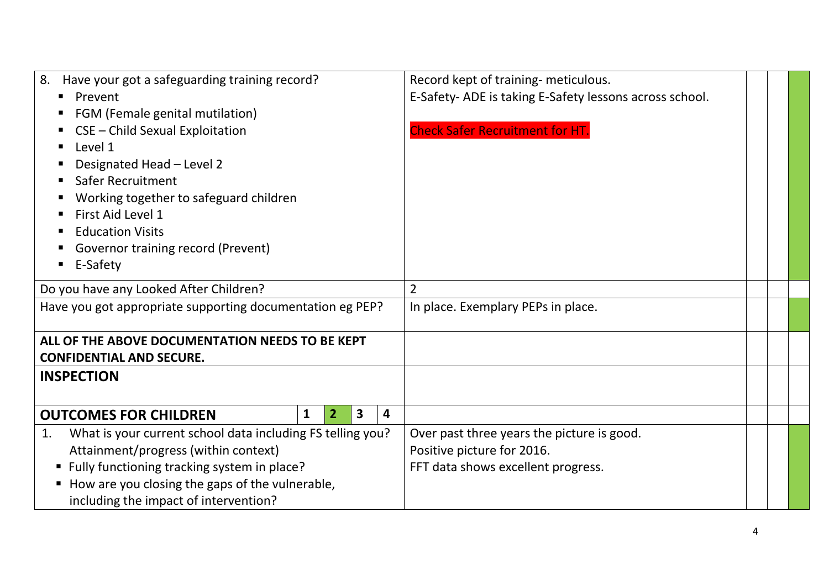| 8.<br>Have your got a safeguarding training record?<br>Prevent<br>FGM (Female genital mutilation) | Record kept of training- meticulous.<br>E-Safety-ADE is taking E-Safety lessons across school. |  |
|---------------------------------------------------------------------------------------------------|------------------------------------------------------------------------------------------------|--|
| CSE - Child Sexual Exploitation<br>Level 1                                                        | <b>Check Safer Recruitment for HT.</b>                                                         |  |
| Designated Head - Level 2                                                                         |                                                                                                |  |
| <b>Safer Recruitment</b>                                                                          |                                                                                                |  |
| Working together to safeguard children<br>First Aid Level 1                                       |                                                                                                |  |
| <b>Education Visits</b>                                                                           |                                                                                                |  |
| Governor training record (Prevent)                                                                |                                                                                                |  |
| E-Safety                                                                                          |                                                                                                |  |
| Do you have any Looked After Children?                                                            | $\overline{2}$                                                                                 |  |
| Have you got appropriate supporting documentation eg PEP?                                         | In place. Exemplary PEPs in place.                                                             |  |
| ALL OF THE ABOVE DOCUMENTATION NEEDS TO BE KEPT                                                   |                                                                                                |  |
| <b>CONFIDENTIAL AND SECURE.</b>                                                                   |                                                                                                |  |
| <b>INSPECTION</b>                                                                                 |                                                                                                |  |
| $\overline{\mathbf{3}}$<br>4<br>$\mathbf{1}$<br>2 <sup>1</sup><br><b>OUTCOMES FOR CHILDREN</b>    |                                                                                                |  |
| What is your current school data including FS telling you?<br>1.                                  | Over past three years the picture is good.                                                     |  |
| Attainment/progress (within context)                                                              | Positive picture for 2016.                                                                     |  |
| ■ Fully functioning tracking system in place?                                                     | FFT data shows excellent progress.                                                             |  |
| How are you closing the gaps of the vulnerable,<br>including the impact of intervention?          |                                                                                                |  |
|                                                                                                   |                                                                                                |  |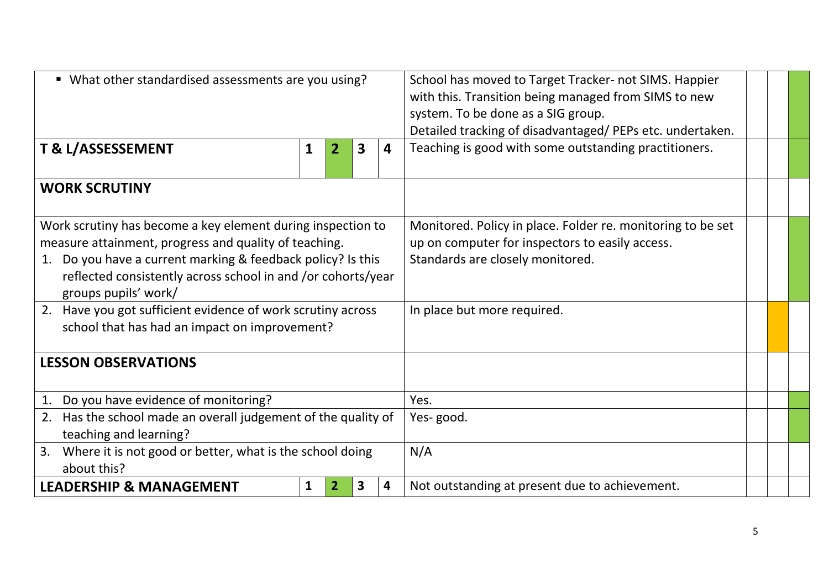| • What other standardised assessments are you using?                                                                                                                                                                                                                           |                                                                                      |  |  |                                                       |                             | School has moved to Target Tracker- not SIMS. Happier<br>with this. Transition being managed from SIMS to new<br>system. To be done as a SIG group.<br>Detailed tracking of disadvantaged/PEPs etc. undertaken. |  |  |
|--------------------------------------------------------------------------------------------------------------------------------------------------------------------------------------------------------------------------------------------------------------------------------|--------------------------------------------------------------------------------------|--|--|-------------------------------------------------------|-----------------------------|-----------------------------------------------------------------------------------------------------------------------------------------------------------------------------------------------------------------|--|--|
| T & L/ASSESSEMENT<br>$\overline{\mathbf{3}}$<br>1<br>$\overline{2}$<br>4                                                                                                                                                                                                       |                                                                                      |  |  | Teaching is good with some outstanding practitioners. |                             |                                                                                                                                                                                                                 |  |  |
| <b>WORK SCRUTINY</b>                                                                                                                                                                                                                                                           |                                                                                      |  |  |                                                       |                             |                                                                                                                                                                                                                 |  |  |
| Work scrutiny has become a key element during inspection to<br>measure attainment, progress and quality of teaching.<br>Do you have a current marking & feedback policy? Is this<br>1.<br>reflected consistently across school in and /or cohorts/year<br>groups pupils' work/ |                                                                                      |  |  |                                                       |                             | Monitored. Policy in place. Folder re. monitoring to be set<br>up on computer for inspectors to easily access.<br>Standards are closely monitored.                                                              |  |  |
| Have you got sufficient evidence of work scrutiny across<br>2.<br>school that has had an impact on improvement?                                                                                                                                                                |                                                                                      |  |  |                                                       | In place but more required. |                                                                                                                                                                                                                 |  |  |
| <b>LESSON OBSERVATIONS</b>                                                                                                                                                                                                                                                     |                                                                                      |  |  |                                                       |                             |                                                                                                                                                                                                                 |  |  |
| 1.                                                                                                                                                                                                                                                                             | Do you have evidence of monitoring?                                                  |  |  |                                                       |                             | Yes.                                                                                                                                                                                                            |  |  |
| 2.                                                                                                                                                                                                                                                                             | Has the school made an overall judgement of the quality of<br>teaching and learning? |  |  |                                                       |                             | Yes-good.                                                                                                                                                                                                       |  |  |
| 3.<br>Where it is not good or better, what is the school doing<br>about this?                                                                                                                                                                                                  |                                                                                      |  |  |                                                       |                             | N/A                                                                                                                                                                                                             |  |  |
| $\mathbf{1}$<br>$\overline{\mathbf{3}}$<br><b>LEADERSHIP &amp; MANAGEMENT</b><br>4<br>2                                                                                                                                                                                        |                                                                                      |  |  | Not outstanding at present due to achievement.        |                             |                                                                                                                                                                                                                 |  |  |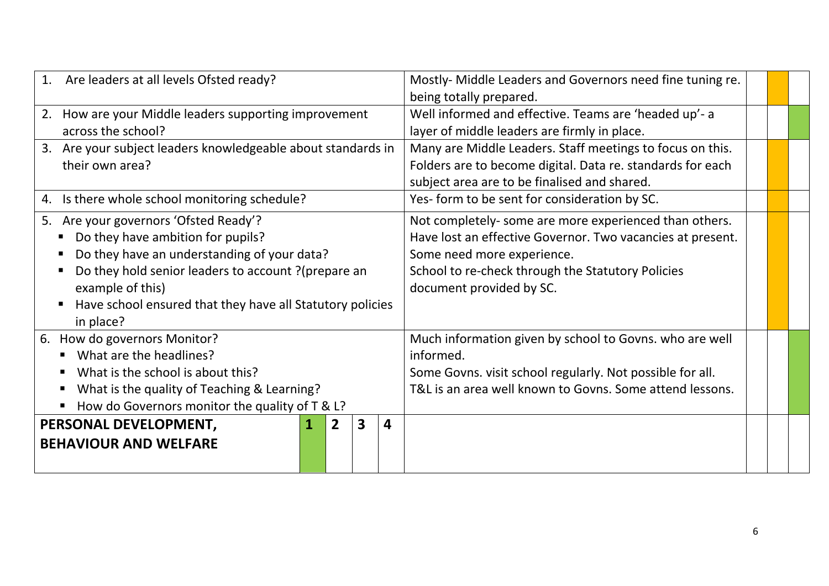| 1. Are leaders at all levels Ofsted ready?                                  |  |   |                         | Mostly- Middle Leaders and Governors need fine tuning re. |                                                            |  |  |
|-----------------------------------------------------------------------------|--|---|-------------------------|-----------------------------------------------------------|------------------------------------------------------------|--|--|
|                                                                             |  |   |                         |                                                           | being totally prepared.                                    |  |  |
| 2. How are your Middle leaders supporting improvement                       |  |   |                         | Well informed and effective. Teams are 'headed up'- a     |                                                            |  |  |
| across the school?                                                          |  |   |                         |                                                           | layer of middle leaders are firmly in place.               |  |  |
| 3. Are your subject leaders knowledgeable about standards in                |  |   |                         |                                                           | Many are Middle Leaders. Staff meetings to focus on this.  |  |  |
| their own area?                                                             |  |   |                         |                                                           | Folders are to become digital. Data re. standards for each |  |  |
|                                                                             |  |   |                         | subject area are to be finalised and shared.              |                                                            |  |  |
| Is there whole school monitoring schedule?<br>4.                            |  |   |                         |                                                           | Yes- form to be sent for consideration by SC.              |  |  |
| 5. Are your governors 'Ofsted Ready'?                                       |  |   |                         |                                                           | Not completely- some are more experienced than others.     |  |  |
| Do they have ambition for pupils?                                           |  |   |                         |                                                           | Have lost an effective Governor. Two vacancies at present. |  |  |
| Do they have an understanding of your data?                                 |  |   |                         |                                                           | Some need more experience.                                 |  |  |
| Do they hold senior leaders to account ? (prepare an                        |  |   |                         |                                                           | School to re-check through the Statutory Policies          |  |  |
| example of this)                                                            |  |   |                         |                                                           | document provided by SC.                                   |  |  |
| Have school ensured that they have all Statutory policies<br>$\blacksquare$ |  |   |                         |                                                           |                                                            |  |  |
| in place?                                                                   |  |   |                         |                                                           |                                                            |  |  |
| 6. How do governors Monitor?                                                |  |   |                         |                                                           | Much information given by school to Govns. who are well    |  |  |
| What are the headlines?                                                     |  |   |                         |                                                           | informed.                                                  |  |  |
| What is the school is about this?<br>п                                      |  |   |                         |                                                           | Some Govns. visit school regularly. Not possible for all.  |  |  |
| What is the quality of Teaching & Learning?<br>п                            |  |   |                         |                                                           | T&L is an area well known to Govns. Some attend lessons.   |  |  |
| How do Governors monitor the quality of T & L?<br>Ξ                         |  |   |                         |                                                           |                                                            |  |  |
| PERSONAL DEVELOPMENT,                                                       |  | 2 | $\overline{\mathbf{3}}$ | $\overline{\mathbf{4}}$                                   |                                                            |  |  |
| <b>BEHAVIOUR AND WELFARE</b>                                                |  |   |                         |                                                           |                                                            |  |  |
|                                                                             |  |   |                         |                                                           |                                                            |  |  |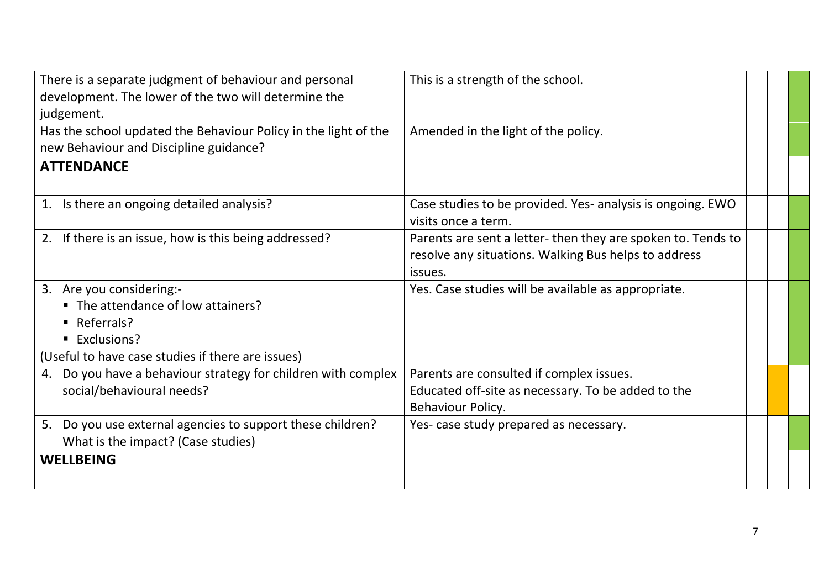| judgement.                                                                                                              |  |
|-------------------------------------------------------------------------------------------------------------------------|--|
|                                                                                                                         |  |
| Has the school updated the Behaviour Policy in the light of the<br>Amended in the light of the policy.                  |  |
| new Behaviour and Discipline guidance?                                                                                  |  |
| <b>ATTENDANCE</b>                                                                                                       |  |
|                                                                                                                         |  |
| 1. Is there an ongoing detailed analysis?<br>Case studies to be provided. Yes- analysis is ongoing. EWO                 |  |
| visits once a term.                                                                                                     |  |
| Parents are sent a letter-then they are spoken to. Tends to<br>If there is an issue, how is this being addressed?<br>2. |  |
| resolve any situations. Walking Bus helps to address                                                                    |  |
| issues.                                                                                                                 |  |
| 3. Are you considering:-<br>Yes. Case studies will be available as appropriate.                                         |  |
| ■ The attendance of low attainers?                                                                                      |  |
| $\blacksquare$ Referrals?                                                                                               |  |
| ■ Exclusions?                                                                                                           |  |
| (Useful to have case studies if there are issues)                                                                       |  |
| Do you have a behaviour strategy for children with complex<br>Parents are consulted if complex issues.<br>4.            |  |
| social/behavioural needs?<br>Educated off-site as necessary. To be added to the                                         |  |
| Behaviour Policy.                                                                                                       |  |
| 5. Do you use external agencies to support these children?<br>Yes- case study prepared as necessary.                    |  |
| What is the impact? (Case studies)                                                                                      |  |
| <b>WELLBEING</b>                                                                                                        |  |
|                                                                                                                         |  |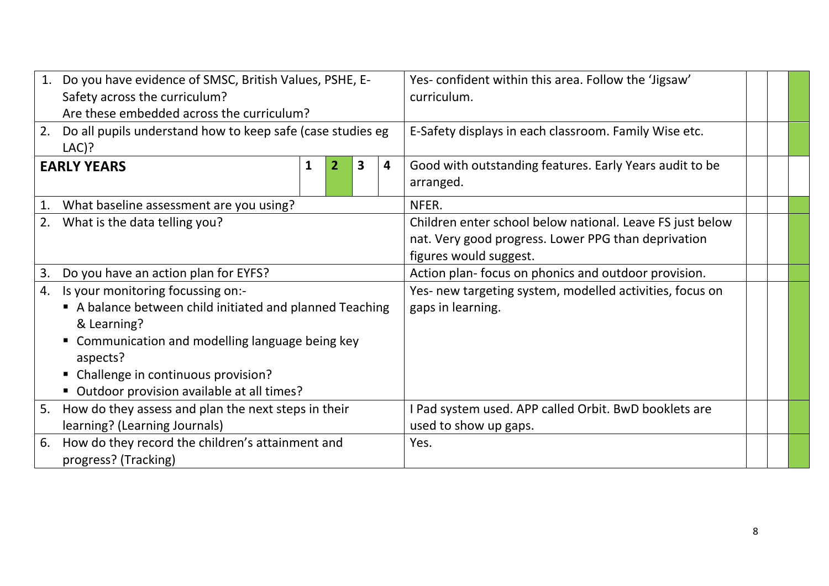| 1.                   | Do you have evidence of SMSC, British Values, PSHE, E-     |   |              |   |                                                          | Yes-confident within this area. Follow the 'Jigsaw'       |  |  |
|----------------------|------------------------------------------------------------|---|--------------|---|----------------------------------------------------------|-----------------------------------------------------------|--|--|
|                      | Safety across the curriculum?                              |   |              |   |                                                          | curriculum.                                               |  |  |
|                      | Are these embedded across the curriculum?                  |   |              |   |                                                          |                                                           |  |  |
| 2.                   | Do all pupils understand how to keep safe (case studies eg |   |              |   | E-Safety displays in each classroom. Family Wise etc.    |                                                           |  |  |
|                      | $LAC$ )?                                                   |   |              |   |                                                          |                                                           |  |  |
|                      | <b>EARLY YEARS</b>                                         | 1 | $\mathbf{2}$ | 3 | 4                                                        | Good with outstanding features. Early Years audit to be   |  |  |
|                      |                                                            |   |              |   |                                                          | arranged.                                                 |  |  |
| 1.                   | What baseline assessment are you using?                    |   |              |   |                                                          | NFER.                                                     |  |  |
|                      | 2. What is the data telling you?                           |   |              |   |                                                          | Children enter school below national. Leave FS just below |  |  |
|                      |                                                            |   |              |   | nat. Very good progress. Lower PPG than deprivation      |                                                           |  |  |
|                      |                                                            |   |              |   |                                                          | figures would suggest.                                    |  |  |
| 3.                   | Do you have an action plan for EYFS?                       |   |              |   |                                                          | Action plan- focus on phonics and outdoor provision.      |  |  |
| 4.                   | Is your monitoring focussing on:-                          |   |              |   | Yes- new targeting system, modelled activities, focus on |                                                           |  |  |
|                      | A balance between child initiated and planned Teaching     |   |              |   |                                                          | gaps in learning.                                         |  |  |
|                      | & Learning?                                                |   |              |   |                                                          |                                                           |  |  |
|                      | " Communication and modelling language being key           |   |              |   |                                                          |                                                           |  |  |
|                      | aspects?                                                   |   |              |   |                                                          |                                                           |  |  |
|                      | • Challenge in continuous provision?                       |   |              |   |                                                          |                                                           |  |  |
|                      | ■ Outdoor provision available at all times?                |   |              |   |                                                          |                                                           |  |  |
| 5.                   | How do they assess and plan the next steps in their        |   |              |   |                                                          | I Pad system used. APP called Orbit. BwD booklets are     |  |  |
|                      | learning? (Learning Journals)                              |   |              |   |                                                          | used to show up gaps.                                     |  |  |
| 6.                   | How do they record the children's attainment and           |   |              |   |                                                          | Yes.                                                      |  |  |
| progress? (Tracking) |                                                            |   |              |   |                                                          |                                                           |  |  |